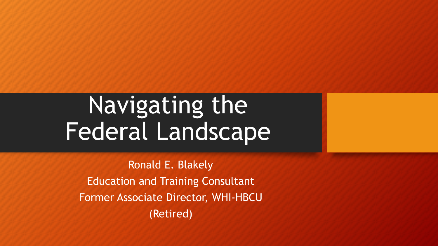# Navigating the Federal Landscape

Ronald E. Blakely Education and Training Consultant Former Associate Director, WHI-HBCU (Retired)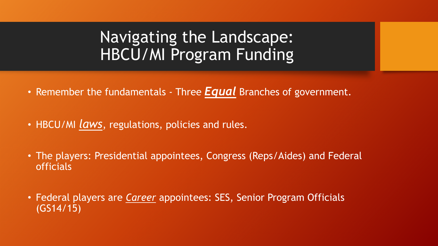## Navigating the Landscape: HBCU/MI Program Funding

- Remember the fundamentals Three *Equal* Branches of government.
- HBCU/MI *laws*, regulations, policies and rules.
- The players: Presidential appointees, Congress (Reps/Aides) and Federal officials
- Federal players are *Career* appointees: SES, Senior Program Officials (GS14/15)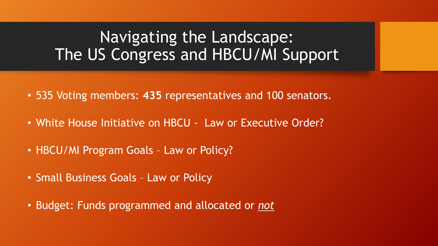## Navigating the Landscape: The US Congress and HBCU/MI Support

- 535 Voting members: **435** representatives and 100 senators.
- White House Initiative on HBCU Law or Executive Order?
- HBCU/MI Program Goals Law or Policy?
- Small Business Goals Law or Policy
- Budget: Funds programmed and allocated or *not*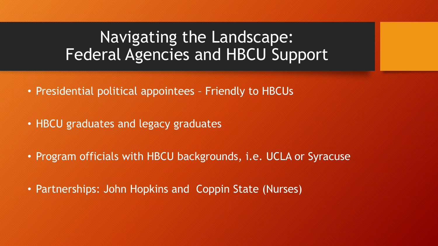## Navigating the Landscape: Federal Agencies and HBCU Support

- Presidential political appointees Friendly to HBCUs
- HBCU graduates and legacy graduates
- Program officials with HBCU backgrounds, i.e. UCLA or Syracuse
- Partnerships: John Hopkins and Coppin State (Nurses)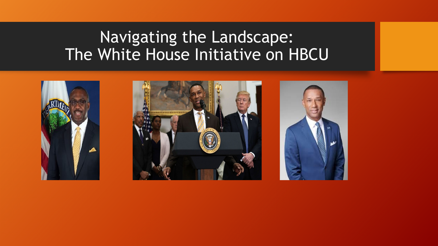## Navigating the Landscape: The White House Initiative on HBCU

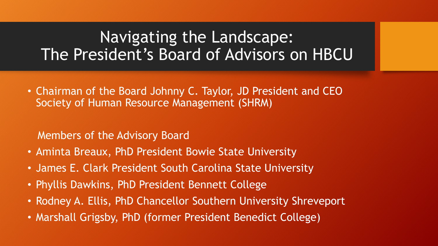## Navigating the Landscape: The President's Board of Advisors on HBCU

• Chairman of the Board Johnny C. Taylor, JD President and CEO Society of Human Resource Management (SHRM)

Members of the Advisory Board

- Aminta Breaux, PhD President Bowie State University
- James E. Clark President South Carolina State University
- Phyllis Dawkins, PhD President Bennett College
- Rodney A. Ellis, PhD Chancellor Southern University Shreveport
- Marshall Grigsby, PhD (former President Benedict College)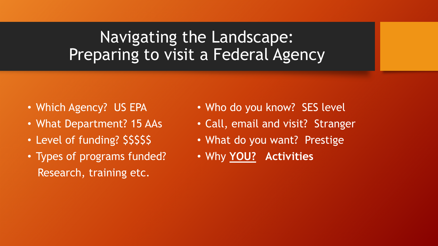## Navigating the Landscape: Preparing to visit a Federal Agency

- Which Agency? US EPA
- What Department? 15 AAs
- Level of funding? \$\$\$\$\$
- Types of programs funded? Research, training etc.
- Who do you know? SES level
- Call, email and visit? Stranger
- What do you want? Prestige
- Why **YOU? Activities**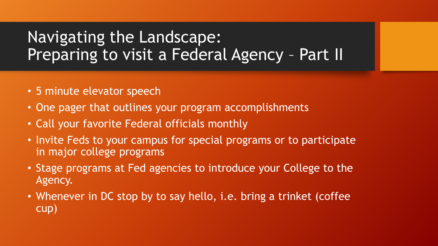## Navigating the Landscape: Preparing to visit a Federal Agency – Part II

- 5 minute elevator speech
- One pager that outlines your program accomplishments
- Call your favorite Federal officials monthly
- Invite Feds to your campus for special programs or to participate in major college programs
- Stage programs at Fed agencies to introduce your College to the Agency.
- Whenever in DC stop by to say hello, i.e. bring a trinket (coffee cup)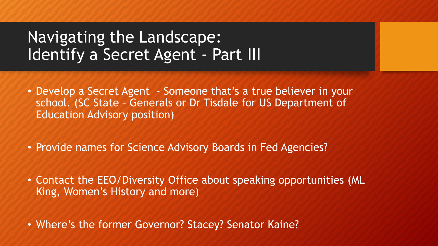## Navigating the Landscape: Identify a Secret Agent - Part III

- Develop a Secret Agent Someone that's a true believer in your school. (SC State – Generals or Dr Tisdale for US Department of Education Advisory position)
- Provide names for Science Advisory Boards in Fed Agencies?
- Contact the EEO/Diversity Office about speaking opportunities (ML King, Women's History and more)
- Where's the former Governor? Stacey? Senator Kaine?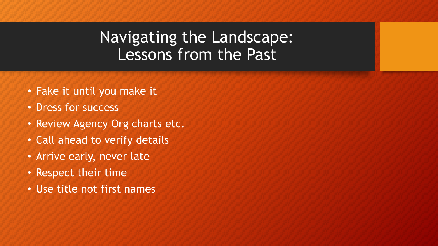## Navigating the Landscape: Lessons from the Past

- Fake it until you make it
- Dress for success
- Review Agency Org charts etc.
- Call ahead to verify details
- Arrive early, never late
- Respect their time
- Use title not first names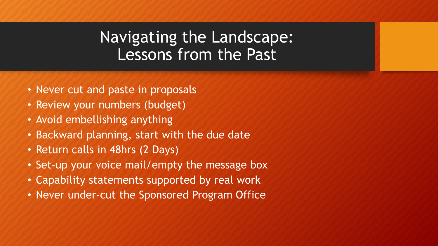## Navigating the Landscape: Lessons from the Past

- Never cut and paste in proposals
- Review your numbers (budget)
- Avoid embellishing anything
- Backward planning, start with the due date
- Return calls in 48hrs (2 Days)
- Set-up your voice mail/empty the message box
- Capability statements supported by real work
- Never under-cut the Sponsored Program Office